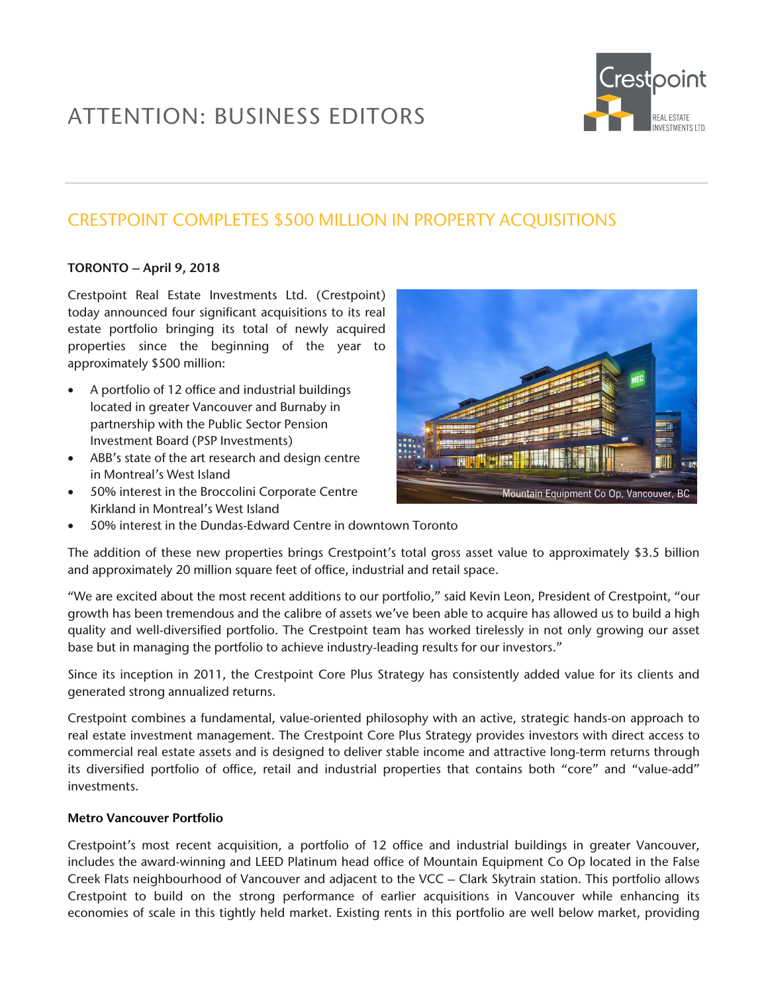# ATTENTION: BUSINESS EDITORS



## CRESTPOINT COMPLETES \$500 MILLION IN PROPERTY ACQUISITIONS

#### TORONTO – April 9, 2018

Crestpoint Real Estate Investments Ltd. (Crestpoint) today announced four significant acquisitions to its real estate portfolio bringing its total of newly acquired properties since the beginning of the year to approximately \$500 million:

- A portfolio of 12 office and industrial buildings located in greater Vancouver and Burnaby in partnership with the Public Sector Pension Investment Board (PSP Investments)
- ABB's state of the art research and design centre in Montreal's West Island
- 50% interest in the Broccolini Corporate Centre Kirkland in Montreal's West Island



• 50% interest in the Dundas-Edward Centre in downtown Toronto

The addition of these new properties brings Crestpoint's total gross asset value to approximately \$3.5 billion and approximately 20 million square feet of office, industrial and retail space.

"We are excited about the most recent additions to our portfolio," said Kevin Leon, President of Crestpoint, "our growth has been tremendous and the calibre of assets we've been able to acquire has allowed us to build a high quality and well-diversified portfolio. The Crestpoint team has worked tirelessly in not only growing our asset base but in managing the portfolio to achieve industry-leading results for our investors."

Since its inception in 2011, the Crestpoint Core Plus Strategy has consistently added value for its clients and generated strong annualized returns.

Crestpoint combines a fundamental, value-oriented philosophy with an active, strategic hands-on approach to real estate investment management. The Crestpoint Core Plus Strategy provides investors with direct access to commercial real estate assets and is designed to deliver stable income and attractive long-term returns through its diversified portfolio of office, retail and industrial properties that contains both "core" and "value-add" investments.

#### Metro Vancouver Portfolio

Crestpoint's most recent acquisition, a portfolio of 12 office and industrial buildings in greater Vancouver, includes the award-winning and LEED Platinum head office of Mountain Equipment Co Op located in the False Creek Flats neighbourhood of Vancouver and adjacent to the VCC – Clark Skytrain station. This portfolio allows Crestpoint to build on the strong performance of earlier acquisitions in Vancouver while enhancing its economies of scale in this tightly held market. Existing rents in this portfolio are well below market, providing